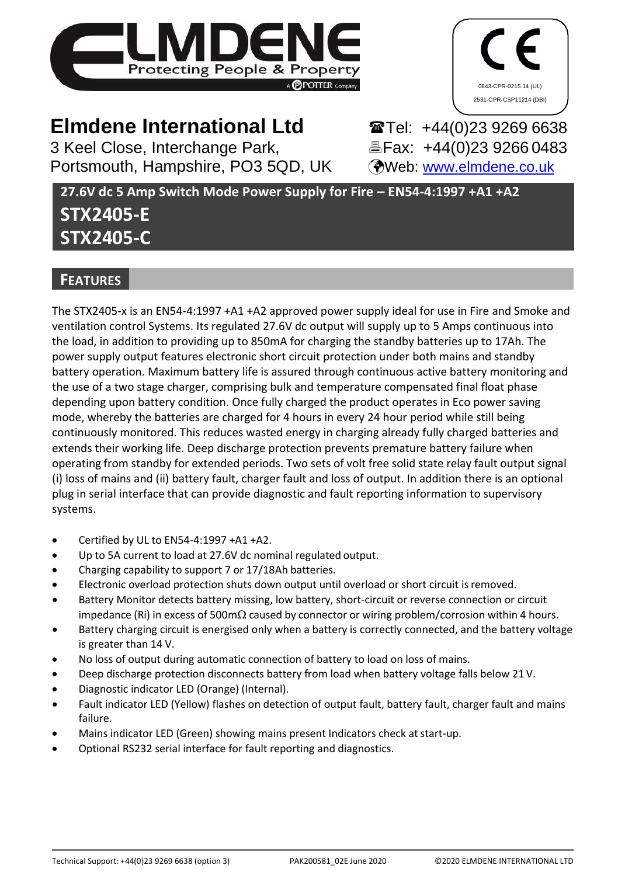



# **Elmdene International Ltd**

3 Keel Close, Interchange Park, Portsmouth, Hampshire, PO3 5QD, UK

**Tel: +44(0)23 9269 6638** *A***Fax: +44(0)23 9266 0483** Web: [www.elmdene.co.uk](http://www.elmdene.co.uk/)

**27.6V dc 5 Amp Switch Mode Power Supply for Fire – EN54-4:1997 +A1 +A2**

# **STX2405-E STX2405-C**

## **FEATURES**

The STX2405-x is an EN54-4:1997 +A1 +A2 approved power supply ideal for use in Fire and Smoke and ventilation control Systems. Its regulated 27.6V dc output will supply up to 5 Amps continuous into the load, in addition to providing up to 850mA for charging the standby batteries up to 17Ah. The power supply output features electronic short circuit protection under both mains and standby battery operation. Maximum battery life is assured through continuous active battery monitoring and the use of a two stage charger, comprising bulk and temperature compensated final float phase depending upon battery condition. Once fully charged the product operates in Eco power saving mode, whereby the batteries are charged for 4 hours in every 24 hour period while still being continuously monitored. This reduces wasted energy in charging already fully charged batteries and extends their working life. Deep discharge protection prevents premature battery failure when operating from standby for extended periods. Two sets of volt free solid state relay fault output signal (i) loss of mains and (ii) battery fault, charger fault and loss of output. In addition there is an optional plug in serial interface that can provide diagnostic and fault reporting information to supervisory systems.

- Certified by UL to EN54-4:1997 +A1 +A2.
- Up to 5A current to load at 27.6V dc nominal regulated output.
- Charging capability to support 7 or 17/18Ah batteries.
- Electronic overload protection shuts down output until overload or short circuit isremoved.
- Battery Monitor detects battery missing, low battery, short-circuit or reverse connection or circuit impedance (Ri) in excess of 500m $\Omega$  caused by connector or wiring problem/corrosion within 4 hours.
- Battery charging circuit is energised only when a battery is correctly connected, and the battery voltage is greater than 14 V.
- No loss of output during automatic connection of battery to load on loss of mains.
- Deep discharge protection disconnects battery from load when battery voltage falls below 21 V.
- Diagnostic indicator LED (Orange) (Internal).
- Fault indicator LED (Yellow) flashes on detection of output fault, battery fault, charger fault and mains failure.
- Mains indicator LED (Green) showing mains present Indicators check at start-up.
- Optional RS232 serial interface for fault reporting and diagnostics.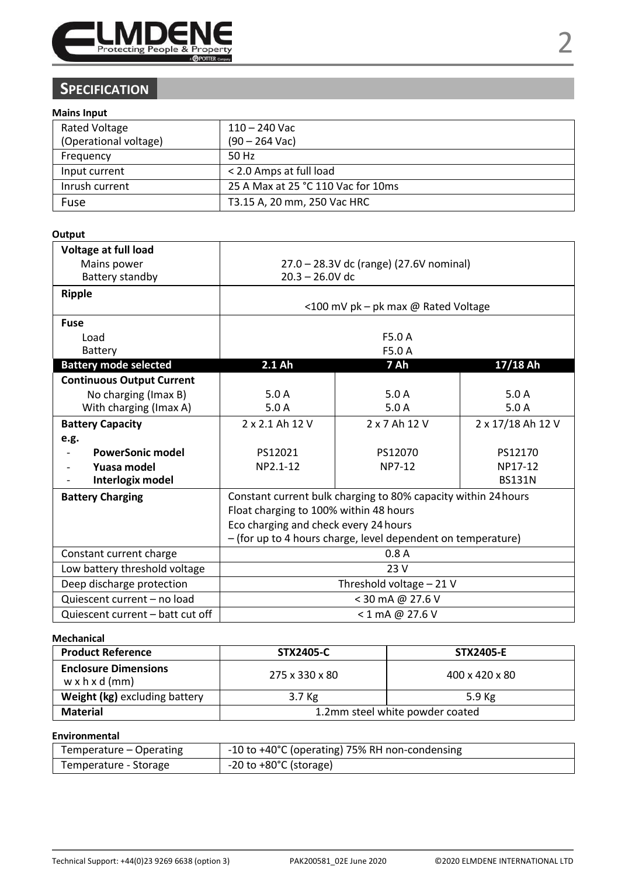

## **SPECIFICATION**

### **Mains Input**

| <b>Rated Voltage</b><br>(Operational voltage) | 110 – 240 Vac<br>$(90 - 264$ Vac)  |
|-----------------------------------------------|------------------------------------|
| Frequency                                     | 50 Hz                              |
| Input current                                 | < 2.0 Amps at full load            |
| Inrush current                                | 25 A Max at 25 °C 110 Vac for 10ms |
| Fuse                                          | T3.15 A, 20 mm, 250 Vac HRC        |

#### **Output**

| Voltage at full load             |                                                              |                                                                |               |  |
|----------------------------------|--------------------------------------------------------------|----------------------------------------------------------------|---------------|--|
| Mains power                      | 27.0 - 28.3V dc (range) (27.6V nominal)                      |                                                                |               |  |
| Battery standby                  | $20.3 - 26.0V$ dc                                            |                                                                |               |  |
| Ripple                           |                                                              |                                                                |               |  |
|                                  |                                                              | <100 mV pk - pk max @ Rated Voltage                            |               |  |
| Fuse                             |                                                              |                                                                |               |  |
| Load                             |                                                              | F5.0 A                                                         |               |  |
| Battery                          |                                                              | F5.0 A                                                         |               |  |
| <b>Battery mode selected</b>     | 2.1 Ah                                                       | 7 Ah                                                           | 17/18 Ah      |  |
| <b>Continuous Output Current</b> |                                                              |                                                                |               |  |
| No charging (Imax B)             | 5.0A                                                         | 5.0A                                                           | 5.0A          |  |
| With charging (Imax A)           | 5.0A                                                         | 5.0A                                                           | 5.0A          |  |
| <b>Battery Capacity</b>          | 2 x 2.1 Ah 12 V<br>2 x 7 Ah 12 V<br>2 x 17/18 Ah 12 V        |                                                                |               |  |
| e.g.                             |                                                              |                                                                |               |  |
| <b>PowerSonic model</b>          | PS12021                                                      | PS12070                                                        | PS12170       |  |
| Yuasa model                      | NP2.1-12                                                     | NP7-12                                                         | NP17-12       |  |
| Interlogix model                 |                                                              |                                                                | <b>BS131N</b> |  |
| <b>Battery Charging</b>          |                                                              | Constant current bulk charging to 80% capacity within 24 hours |               |  |
|                                  | Float charging to 100% within 48 hours                       |                                                                |               |  |
|                                  | Eco charging and check every 24 hours                        |                                                                |               |  |
|                                  | - (for up to 4 hours charge, level dependent on temperature) |                                                                |               |  |
| Constant current charge          | 0.8A                                                         |                                                                |               |  |
| Low battery threshold voltage    | 23 V                                                         |                                                                |               |  |
| Deep discharge protection        | Threshold voltage - 21 V                                     |                                                                |               |  |
| Quiescent current - no load      | < 30 mA @ 27.6 V                                             |                                                                |               |  |
| Quiescent current - batt cut off | < 1 mA @ 27.6 V                                              |                                                                |               |  |

#### **Mechanical**

| <b>Product Reference</b>                                  | STX2405-C                       | <b>STX2405-E</b> |  |
|-----------------------------------------------------------|---------------------------------|------------------|--|
| <b>Enclosure Dimensions</b><br>$w \times h \times d$ (mm) | 275 x 330 x 80                  | 400 x 420 x 80   |  |
| Weight (kg) excluding battery                             | 3.7 Kg                          | 5.9 Kg           |  |
| Material                                                  | 1.2mm steel white powder coated |                  |  |

#### **Environmental**

| Temperature – Operating | -10 to +40°C (operating) 75% RH non-condensing |
|-------------------------|------------------------------------------------|
| Temperature - Storage   | $-20$ to $+80^{\circ}$ C (storage)             |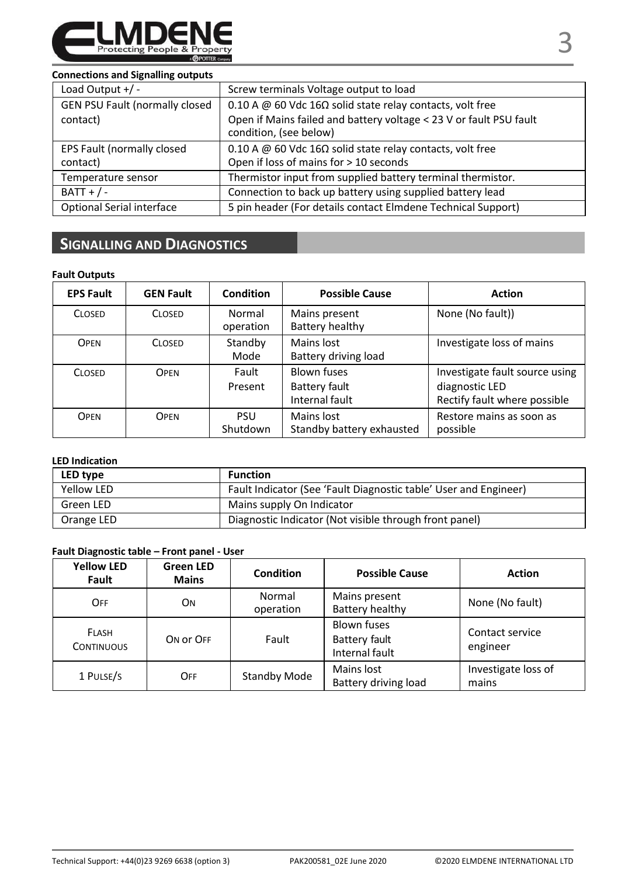

#### **Connections and Signalling outputs**

| Load Output $+/-$                                  | Screw terminals Voltage output to load                                                                                                                            |
|----------------------------------------------------|-------------------------------------------------------------------------------------------------------------------------------------------------------------------|
| <b>GEN PSU Fault (normally closed)</b><br>contact) | 0.10 A @ 60 Vdc 16 $\Omega$ solid state relay contacts, volt free<br>Open if Mains failed and battery voltage < 23 V or fault PSU fault<br>condition, (see below) |
| EPS Fault (normally closed<br>contact)             | 0.10 A @ 60 Vdc 16 $\Omega$ solid state relay contacts, volt free<br>Open if loss of mains for > 10 seconds                                                       |
| Temperature sensor                                 | Thermistor input from supplied battery terminal thermistor.                                                                                                       |
| $BATT + / -$                                       | Connection to back up battery using supplied battery lead                                                                                                         |
| Optional Serial interface                          | 5 pin header (For details contact Elmdene Technical Support)                                                                                                      |

## **SIGNALLING AND DIAGNOSTICS**

#### **Fault Outputs**

| <b>EPS Fault</b> | <b>GEN Fault</b> | <b>Condition</b>    | <b>Possible Cause</b>                          | <b>Action</b>                                                                    |
|------------------|------------------|---------------------|------------------------------------------------|----------------------------------------------------------------------------------|
| <b>CLOSED</b>    | <b>CLOSED</b>    | Normal<br>operation | Mains present<br>Battery healthy               | None (No fault))                                                                 |
| <b>OPEN</b>      | <b>CLOSED</b>    | Standby<br>Mode     | Mains lost<br>Battery driving load             | Investigate loss of mains                                                        |
| <b>CLOSED</b>    | OPEN             | Fault<br>Present    | Blown fuses<br>Battery fault<br>Internal fault | Investigate fault source using<br>diagnostic LED<br>Rectify fault where possible |
| <b>OPEN</b>      | OPEN             | PSU<br>Shutdown     | Mains lost<br>Standby battery exhausted        | Restore mains as soon as<br>possible                                             |

#### **LED Indication**

| LED type   | <b>Function</b>                                                  |
|------------|------------------------------------------------------------------|
| Yellow LED | Fault Indicator (See 'Fault Diagnostic table' User and Engineer) |
| Green LED  | Mains supply On Indicator                                        |
| Orange LED | Diagnostic Indicator (Not visible through front panel)           |

### **Fault Diagnostic table – Front panel - User**

| <b>Yellow LED</b><br>Fault        | <b>Green LED</b><br>Mains | Condition           | <b>Possible Cause</b>                                 | <b>Action</b>                |
|-----------------------------------|---------------------------|---------------------|-------------------------------------------------------|------------------------------|
| OFF                               | OΝ                        | Normal<br>operation | Mains present<br>Battery healthy                      | None (No fault)              |
| <b>FLASH</b><br><b>CONTINUOUS</b> | ON OF OFF                 | Fault               | <b>Blown fuses</b><br>Battery fault<br>Internal fault | Contact service<br>engineer  |
| 1 PULSE/S                         | OFF                       | <b>Standby Mode</b> | Mains lost<br>Battery driving load                    | Investigate loss of<br>mains |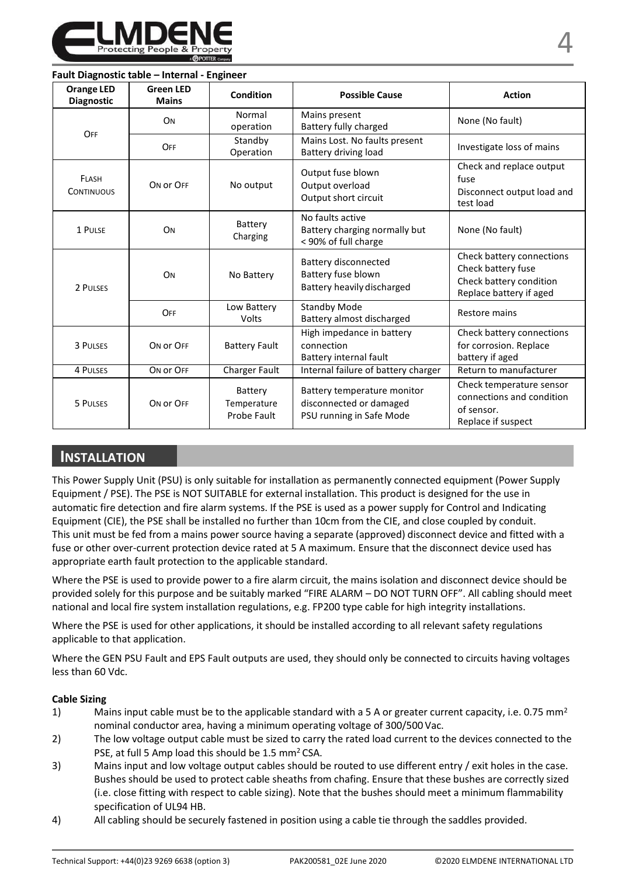

#### **Fault Diagnostic table – Internal - Engineer**

| <b>Orange LED</b><br><b>Diagnostic</b> | <b>Green LED</b><br><b>Mains</b> | Condition                             | <b>Possible Cause</b>                                                              | <b>Action</b>                                                                                         |
|----------------------------------------|----------------------------------|---------------------------------------|------------------------------------------------------------------------------------|-------------------------------------------------------------------------------------------------------|
| OFF                                    | ON                               | Normal<br>operation                   | Mains present<br>Battery fully charged                                             | None (No fault)                                                                                       |
|                                        | OFF                              | Standby<br>Operation                  | Mains Lost. No faults present<br>Battery driving load                              | Investigate loss of mains                                                                             |
| FLASH<br><b>CONTINUOUS</b>             | ON OF OFF                        | No output                             | Output fuse blown<br>Output overload<br>Output short circuit                       | Check and replace output<br>fuse<br>Disconnect output load and<br>test load                           |
| 1 PULSE                                | ON                               | Battery<br>Charging                   | No faults active<br>Battery charging normally but<br>< 90% of full charge          | None (No fault)                                                                                       |
| 2 PULSES                               | ON                               | No Battery                            | Battery disconnected<br>Battery fuse blown<br>Battery heavily discharged           | Check battery connections<br>Check battery fuse<br>Check battery condition<br>Replace battery if aged |
|                                        | OFF                              | Low Battery<br>Volts                  | Standby Mode<br>Battery almost discharged                                          | Restore mains                                                                                         |
| 3 PULSES                               | ON OF OFF                        | <b>Battery Fault</b>                  | High impedance in battery<br>connection<br>Battery internal fault                  | Check battery connections<br>for corrosion. Replace<br>battery if aged                                |
| 4 PULSES                               | ON OF OFF                        | Charger Fault                         | Internal failure of battery charger                                                | Return to manufacturer                                                                                |
| 5 PULSES                               | ON OF OFF                        | Battery<br>Temperature<br>Probe Fault | Battery temperature monitor<br>disconnected or damaged<br>PSU running in Safe Mode | Check temperature sensor<br>connections and condition<br>of sensor.<br>Replace if suspect             |

## **INSTALLATION**

This Power Supply Unit (PSU) is only suitable for installation as permanently connected equipment (Power Supply Equipment / PSE). The PSE is NOT SUITABLE for external installation. This product is designed for the use in automatic fire detection and fire alarm systems. If the PSE is used as a power supply for Control and Indicating Equipment (CIE), the PSE shall be installed no further than 10cm from the CIE, and close coupled by conduit. This unit must be fed from a mains power source having a separate (approved) disconnect device and fitted with a fuse or other over-current protection device rated at 5 A maximum. Ensure that the disconnect device used has appropriate earth fault protection to the applicable standard.

Where the PSE is used to provide power to a fire alarm circuit, the mains isolation and disconnect device should be provided solely for this purpose and be suitably marked "FIRE ALARM – DO NOT TURN OFF". All cabling should meet national and local fire system installation regulations, e.g. FP200 type cable for high integrity installations.

Where the PSE is used for other applications, it should be installed according to all relevant safety regulations applicable to that application.

Where the GEN PSU Fault and EPS Fault outputs are used, they should only be connected to circuits having voltages less than 60 Vdc.

#### **Cable Sizing**

- 1) Mains input cable must be to the applicable standard with a 5 A or greater current capacity, i.e. 0.75 mm<sup>2</sup> nominal conductor area, having a minimum operating voltage of 300/500 Vac.
- 2) The low voltage output cable must be sized to carry the rated load current to the devices connected to the PSE, at full 5 Amp load this should be 1.5 mm<sup>2</sup> CSA.
- 3) Mains input and low voltage output cables should be routed to use different entry / exit holes in the case. Bushes should be used to protect cable sheaths from chafing. Ensure that these bushes are correctly sized (i.e. close fitting with respect to cable sizing). Note that the bushes should meet a minimum flammability specification of UL94 HB.
- 4) All cabling should be securely fastened in position using a cable tie through the saddles provided.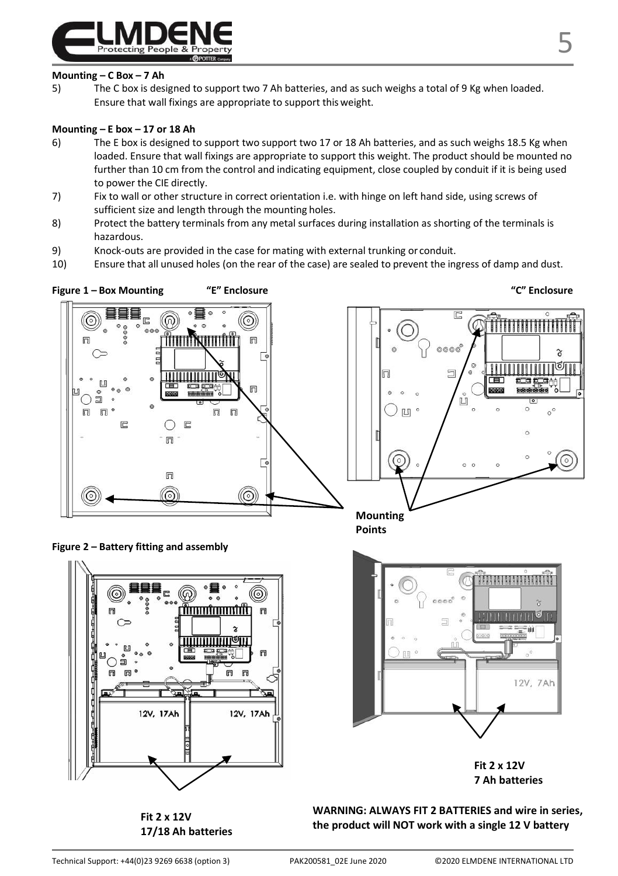

#### **Mounting – C Box – 7 Ah**

5) The C box is designed to support two 7 Ah batteries, and as such weighs a total of 9 Kg when loaded. Ensure that wall fixings are appropriate to support this weight.

#### **Mounting – E box – 17 or 18 Ah**

- 6) The E box is designed to support two support two 17 or 18 Ah batteries, and as such weighs 18.5 Kg when loaded. Ensure that wall fixings are appropriate to support this weight. The product should be mounted no further than 10 cm from the control and indicating equipment, close coupled by conduit if it is being used to power the CIE directly.
- 7) Fix to wall or other structure in correct orientation i.e. with hinge on left hand side, using screws of sufficient size and length through the mounting holes.
- 8) Protect the battery terminals from any metal surfaces during installation as shorting of the terminals is hazardous.
- 9) Knock-outs are provided in the case for mating with external trunking or conduit.
- 10) Ensure that all unused holes (on the rear of the case) are sealed to prevent the ingress of damp and dust.





**Fit 2 x 12V 17/18 Ah batteries**



12V, 7Ah

**WARNING: ALWAYS FIT 2 BATTERIES and wire in series, the product will NOT work with a single 12 V battery**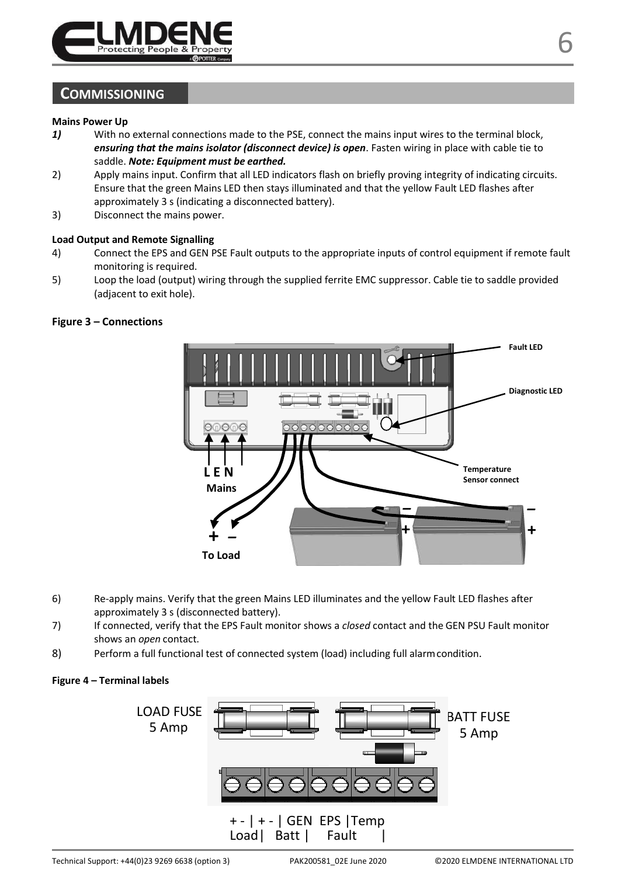

## **COMMISSIONING**

# **Mains Power Up**<br> **1)** With no

- *1)* With no external connections made to the PSE, connect the mains input wires to the terminal block, *ensuring that the mains isolator (disconnect device) is open*. Fasten wiring in place with cable tie to saddle. *Note: Equipment must be earthed.*
- 2) Apply mains input. Confirm that all LED indicators flash on briefly proving integrity of indicating circuits. Ensure that the green Mains LED then stays illuminated and that the yellow Fault LED flashes after approximately 3 s (indicating a disconnected battery).
- 3) Disconnect the mains power.

#### **Load Output and Remote Signalling**

- 4) Connect the EPS and GEN PSE Fault outputs to the appropriate inputs of control equipment if remote fault monitoring is required.
- 5) Loop the load (output) wiring through the supplied ferrite EMC suppressor. Cable tie to saddle provided (adjacent to exit hole).



#### **Figure 3 – Connections**

- 6) Re-apply mains. Verify that the green Mains LED illuminates and the yellow Fault LED flashes after approximately 3 s (disconnected battery).
- 7) If connected, verify that the EPS Fault monitor shows a *closed* contact and the GEN PSU Fault monitor shows an *open* contact.
- 8) Perform a full functional test of connected system (load) including full alarmcondition.

#### **Figure 4 – Terminal labels**

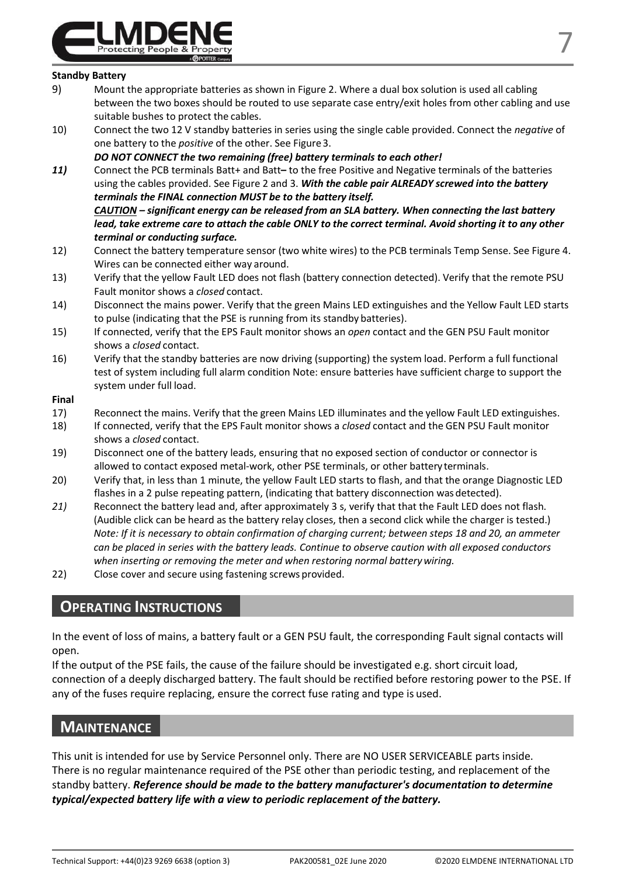

#### **Standby Battery**

- 9) Mount the appropriate batteries as shown in Figure 2. Where a dual box solution is used all cabling between the two boxes should be routed to use separate case entry/exit holes from other cabling and use suitable bushes to protect the cables.
- 10) Connect the two 12 V standby batteries in series using the single cable provided. Connect the *negative* of one battery to the *positive* of the other. See Figure3.

*DO NOT CONNECT the two remaining (free) battery terminals to each other!*

- *11)* Connect the PCB terminals Batt+ and Batt**–** to the free Positive and Negative terminals of the batteries using the cables provided. See Figure 2 and 3. *With the cable pair ALREADY screwed into the battery terminals the FINAL connection MUST be to the battery itself. CAUTION – significant energy can be released from an SLA battery. When connecting the last battery*  lead, take extreme care to attach the cable ONLY to the correct terminal. Avoid shorting it to any other
- *terminal or conducting surface.* 12) Connect the battery temperature sensor (two white wires) to the PCB terminals Temp Sense. See Figure 4. Wires can be connected either way around.
- 13) Verify that the yellow Fault LED does not flash (battery connection detected). Verify that the remote PSU Fault monitor shows a *closed* contact.
- 14) Disconnect the mains power. Verify that the green Mains LED extinguishes and the Yellow Fault LED starts to pulse (indicating that the PSE is running from its standby batteries).
- 15) If connected, verify that the EPS Fault monitor shows an *open* contact and the GEN PSU Fault monitor shows a *closed* contact.
- 16) Verify that the standby batteries are now driving (supporting) the system load. Perform a full functional test of system including full alarm condition Note: ensure batteries have sufficient charge to support the system under full load.

#### **Final**

- 17) Reconnect the mains. Verify that the green Mains LED illuminates and the yellow Fault LED extinguishes.
- 18) If connected, verify that the EPS Fault monitor shows a *closed* contact and the GEN PSU Fault monitor shows a *closed* contact.
- 19) Disconnect one of the battery leads, ensuring that no exposed section of conductor or connector is allowed to contact exposed metal-work, other PSE terminals, or other battery terminals.
- 20) Verify that, in less than 1 minute, the yellow Fault LED starts to flash, and that the orange Diagnostic LED flashes in a 2 pulse repeating pattern, (indicating that battery disconnection was detected).
- *21)* Reconnect the battery lead and, after approximately 3 s, verify that that the Fault LED does not flash. (Audible click can be heard as the battery relay closes, then a second click while the charger is tested.) *Note: If it is necessary to obtain confirmation of charging current; between steps 18 and 20, an ammeter can be placed in series with the battery leads. Continue to observe caution with all exposed conductors when inserting or removing the meter and when restoring normal batterywiring.*
- 22) Close cover and secure using fastening screws provided.

## **OPERATING INSTRUCTIONS**

In the event of loss of mains, a battery fault or a GEN PSU fault, the corresponding Fault signal contacts will open.

If the output of the PSE fails, the cause of the failure should be investigated e.g. short circuit load, connection of a deeply discharged battery. The fault should be rectified before restoring power to the PSE. If any of the fuses require replacing, ensure the correct fuse rating and type is used.

## **MAINTENANCE**

This unit is intended for use by Service Personnel only. There are NO USER SERVICEABLE parts inside. There is no regular maintenance required of the PSE other than periodic testing, and replacement of the standby battery. *Reference should be made to the battery manufacturer's documentation to determine typical/expected battery life with a view to periodic replacement of the battery.*